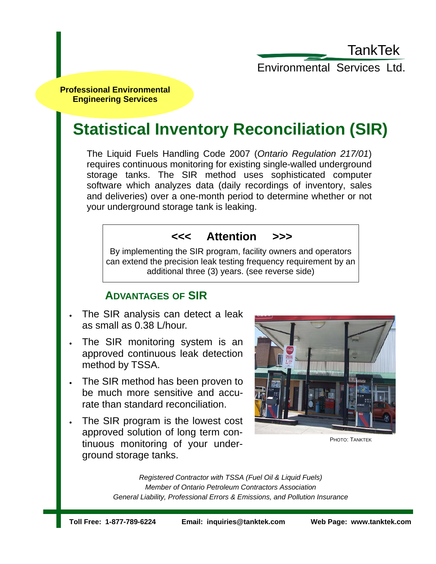TankTek

Environmental Services Ltd.

**Professional Environmental Engineering Services** 

# **Statistical Inventory Reconciliation (SIR)**

The Liquid Fuels Handling Code 2007 (*Ontario Regulation 217/01*) requires continuous monitoring for existing single-walled underground storage tanks. The SIR method uses sophisticated computer software which analyzes data (daily recordings of inventory, sales and deliveries) over a one-month period to determine whether or not your underground storage tank is leaking.

### **<<< Attention >>>**

By implementing the SIR program, facility owners and operators can extend the precision leak testing frequency requirement by an additional three (3) years. (see reverse side)

## **ADVANTAGES OF SIR**

- The SIR analysis can detect a leak as small as 0.38 L/hour.
- The SIR monitoring system is an approved continuous leak detection method by TSSA.
- The SIR method has been proven to be much more sensitive and accurate than standard reconciliation.
- The SIR program is the lowest cost approved solution of long term continuous monitoring of your underground storage tanks.



PHOTO: TANKTEK

*Registered Contractor with TSSA (Fuel Oil & Liquid Fuels) Member of Ontario Petroleum Contractors Association General Liability, Professional Errors & Emissions, and Pollution Insurance*